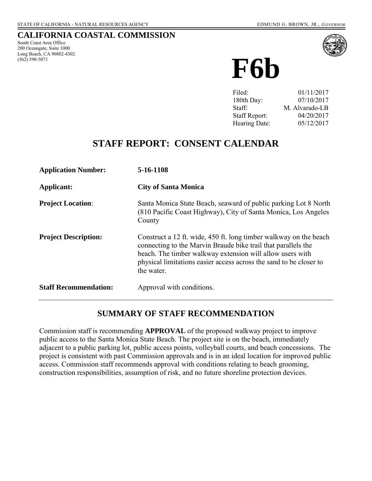#### **CALIFORNIA COASTAL COMMISSION**

South Coast Area Office 200 Oceangate, Suite 1000 Long Beach, CA 90802-4302 (562) 590-5071



**F6b**

| Filed:               | 01/11/2017     |
|----------------------|----------------|
| 180th Day:           | 07/10/2017     |
| Staff:               | M. Alvarado-LB |
| <b>Staff Report:</b> | 04/20/2017     |
| Hearing Date:        | 05/12/2017     |

# **STAFF REPORT: CONSENT CALENDAR**

| <b>Application Number:</b>   | 5-16-1108                                                                                                                                                                                                                                                                           |
|------------------------------|-------------------------------------------------------------------------------------------------------------------------------------------------------------------------------------------------------------------------------------------------------------------------------------|
| Applicant:                   | <b>City of Santa Monica</b>                                                                                                                                                                                                                                                         |
| <b>Project Location:</b>     | Santa Monica State Beach, seaward of public parking Lot 8 North<br>(810 Pacific Coast Highway), City of Santa Monica, Los Angeles<br>County                                                                                                                                         |
| <b>Project Description:</b>  | Construct a 12 ft. wide, 450 ft. long timber walkway on the beach<br>connecting to the Marvin Braude bike trail that parallels the<br>beach. The timber walkway extension will allow users with<br>physical limitations easier access across the sand to be closer to<br>the water. |
| <b>Staff Recommendation:</b> | Approval with conditions.                                                                                                                                                                                                                                                           |

### **SUMMARY OF STAFF RECOMMENDATION**

Commission staff is recommending **APPROVAL** of the proposed walkway project to improve public access to the Santa Monica State Beach. The project site is on the beach, immediately adjacent to a public parking lot, public access points, volleyball courts, and beach concessions. The project is consistent with past Commission approvals and is in an ideal location for improved public access. Commission staff recommends approval with conditions relating to beach grooming, construction responsibilities, assumption of risk, and no future shoreline protection devices.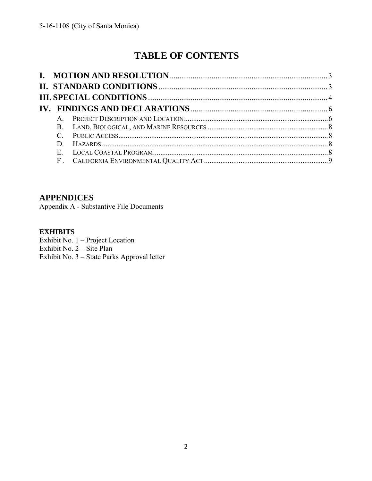# **TABLE OF CONTENTS**

| $\mathbf{A}$ |  |
|--------------|--|
|              |  |
|              |  |
|              |  |
|              |  |
|              |  |

## **APPENDICES**

[Appendix A - Substantive File Documents](#page-8-1) 

### **EXHIBITS**

- Exhibit No. 1 Project Location
- Exhibit No. 2 Site Plan
- Exhibit No. 3 [State Parks Approval letter](https://documents.coastal.ca.gov/reports/2017/5/F6b/F6b-5-2017-exhibits.pdf)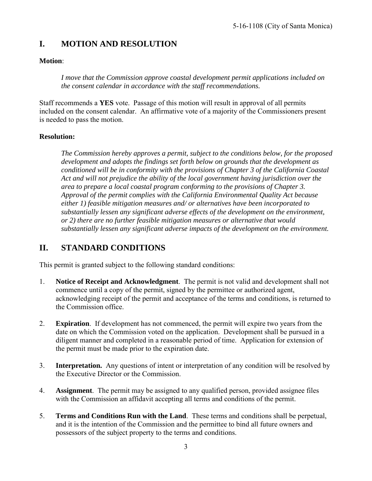# <span id="page-2-0"></span>**I. MOTION AND RESOLUTION**

#### **Motion**:

*I move that the Commission approve coastal development permit applications included on the consent calendar in accordance with the staff recommendations.* 

Staff recommends a **YES** vote. Passage of this motion will result in approval of all permits included on the consent calendar. An affirmative vote of a majority of the Commissioners present is needed to pass the motion.

#### **Resolution:**

*The Commission hereby approves a permit, subject to the conditions below, for the proposed development and adopts the findings set forth below on grounds that the development as conditioned will be in conformity with the provisions of Chapter 3 of the California Coastal Act and will not prejudice the ability of the local government having jurisdiction over the area to prepare a local coastal program conforming to the provisions of Chapter 3. Approval of the permit complies with the California Environmental Quality Act because either 1) feasible mitigation measures and/ or alternatives have been incorporated to substantially lessen any significant adverse effects of the development on the environment, or 2) there are no further feasible mitigation measures or alternative that would substantially lessen any significant adverse impacts of the development on the environment.* 

### <span id="page-2-1"></span>**II. STANDARD CONDITIONS**

This permit is granted subject to the following standard conditions:

- 1. **Notice of Receipt and Acknowledgment**. The permit is not valid and development shall not commence until a copy of the permit, signed by the permittee or authorized agent, acknowledging receipt of the permit and acceptance of the terms and conditions, is returned to the Commission office.
- 2. **Expiration**. If development has not commenced, the permit will expire two years from the date on which the Commission voted on the application. Development shall be pursued in a diligent manner and completed in a reasonable period of time. Application for extension of the permit must be made prior to the expiration date.
- 3. **Interpretation.** Any questions of intent or interpretation of any condition will be resolved by the Executive Director or the Commission.
- 4. **Assignment**. The permit may be assigned to any qualified person, provided assignee files with the Commission an affidavit accepting all terms and conditions of the permit.
- 5. **Terms and Conditions Run with the Land**. These terms and conditions shall be perpetual, and it is the intention of the Commission and the permittee to bind all future owners and possessors of the subject property to the terms and conditions.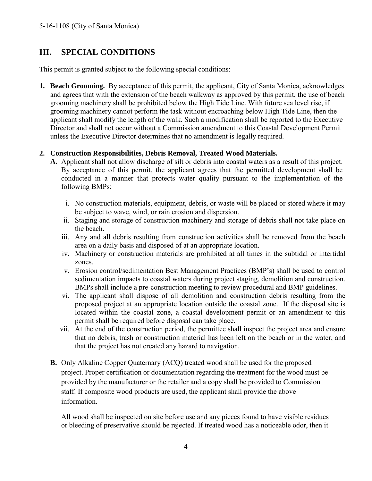# <span id="page-3-0"></span>**III. SPECIAL CONDITIONS**

This permit is granted subject to the following special conditions:

**1. Beach Grooming.** By acceptance of this permit, the applicant, City of Santa Monica, acknowledges and agrees that with the extension of the beach walkway as approved by this permit, the use of beach grooming machinery shall be prohibited below the High Tide Line. With future sea level rise, if grooming machinery cannot perform the task without encroaching below High Tide Line, then the applicant shall modify the length of the walk. Such a modification shall be reported to the Executive Director and shall not occur without a Commission amendment to this Coastal Development Permit unless the Executive Director determines that no amendment is legally required.

#### **2. Construction Responsibilities, Debris Removal, Treated Wood Materials.**

- **A.** Applicant shall not allow discharge of silt or debris into coastal waters as a result of this project. By acceptance of this permit, the applicant agrees that the permitted development shall be conducted in a manner that protects water quality pursuant to the implementation of the following BMPs:
	- i. No construction materials, equipment, debris, or waste will be placed or stored where it may be subject to wave, wind, or rain erosion and dispersion.
	- ii. Staging and storage of construction machinery and storage of debris shall not take place on the beach.
	- iii. Any and all debris resulting from construction activities shall be removed from the beach area on a daily basis and disposed of at an appropriate location.
	- iv. Machinery or construction materials are prohibited at all times in the subtidal or intertidal zones.
	- v. Erosion control/sedimentation Best Management Practices (BMP's) shall be used to control sedimentation impacts to coastal waters during project staging, demolition and construction. BMPs shall include a pre-construction meeting to review procedural and BMP guidelines.
	- vi. The applicant shall dispose of all demolition and construction debris resulting from the proposed project at an appropriate location outside the coastal zone. If the disposal site is located within the coastal zone, a coastal development permit or an amendment to this permit shall be required before disposal can take place.
	- vii. At the end of the construction period, the permittee shall inspect the project area and ensure that no debris, trash or construction material has been left on the beach or in the water, and that the project has not created any hazard to navigation.
- **B.** Only Alkaline Copper Quaternary (ACQ) treated wood shall be used for the proposed project. Proper certification or documentation regarding the treatment for the wood must be provided by the manufacturer or the retailer and a copy shall be provided to Commission staff. If composite wood products are used, the applicant shall provide the above information.

All wood shall be inspected on site before use and any pieces found to have visible residues or bleeding of preservative should be rejected. If treated wood has a noticeable odor, then it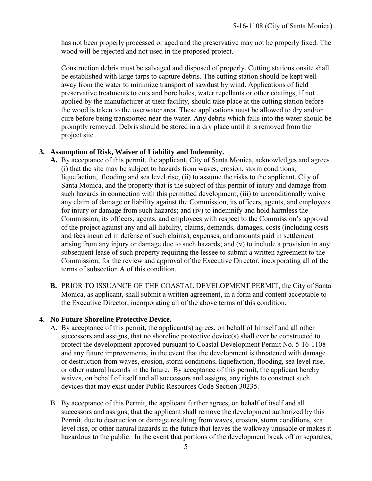has not been properly processed or aged and the preservative may not be properly fixed. The wood will be rejected and not used in the proposed project.

Construction debris must be salvaged and disposed of properly. Cutting stations onsite shall be established with large tarps to capture debris. The cutting station should be kept well away from the water to minimize transport of sawdust by wind. Applications of field preservative treatments to cuts and bore holes, water repellants or other coatings, if not applied by the manufacturer at their facility, should take place at the cutting station before the wood is taken to the overwater area. These applications must be allowed to dry and/or cure before being transported near the water. Any debris which falls into the water should be promptly removed. Debris should be stored in a dry place until it is removed from the project site.

#### **3. Assumption of Risk, Waiver of Liability and Indemnity.**

- **A.** By acceptance of this permit, the applicant, City of Santa Monica, acknowledges and agrees (i) that the site may be subject to hazards from waves, erosion, storm conditions, liquefaction, flooding and sea level rise; (ii) to assume the risks to the applicant, City of Santa Monica, and the property that is the subject of this permit of injury and damage from such hazards in connection with this permitted development; (iii) to unconditionally waive any claim of damage or liability against the Commission, its officers, agents, and employees for injury or damage from such hazards; and (iv) to indemnify and hold harmless the Commission, its officers, agents, and employees with respect to the Commission's approval of the project against any and all liability, claims, demands, damages, costs (including costs and fees incurred in defense of such claims), expenses, and amounts paid in settlement arising from any injury or damage due to such hazards; and (v) to include a provision in any subsequent lease of such property requiring the lessee to submit a written agreement to the Commission, for the review and approval of the Executive Director, incorporating all of the terms of subsection A of this condition.
- **B.** PRIOR TO ISSUANCE OF THE COASTAL DEVELOPMENT PERMIT, the City of Santa Monica, as applicant, shall submit a written agreement, in a form and content acceptable to the Executive Director, incorporating all of the above terms of this condition.

#### **4. No Future Shoreline Protective Device.**

- A. By acceptance of this permit, the applicant(s) agrees, on behalf of himself and all other successors and assigns, that no shoreline protective device(s) shall ever be constructed to protect the development approved pursuant to Coastal Development Permit No. 5-16-1108 and any future improvements, in the event that the development is threatened with damage or destruction from waves, erosion, storm conditions, liquefaction, flooding, sea level rise, or other natural hazards in the future. By acceptance of this permit, the applicant hereby waives, on behalf of itself and all successors and assigns, any rights to construct such devices that may exist under Public Resources Code Section 30235.
- B. By acceptance of this Permit, the applicant further agrees, on behalf of itself and all successors and assigns, that the applicant shall remove the development authorized by this Permit, due to destruction or damage resulting from waves, erosion, storm conditions, sea level rise, or other natural hazards in the future that leaves the walkway unusable or makes it hazardous to the public. In the event that portions of the development break off or separates,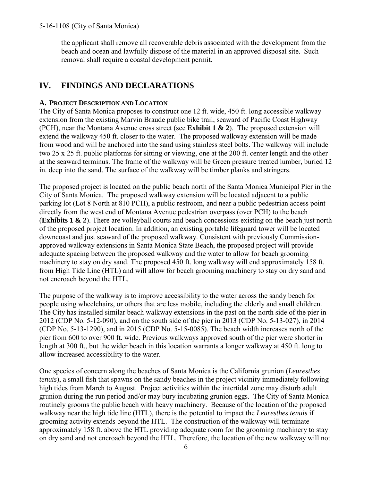the applicant shall remove all recoverable debris associated with the development from the beach and ocean and lawfully dispose of the material in an approved disposal site. Such removal shall require a coastal development permit.

# <span id="page-5-0"></span>**IV. FINDINGS AND DECLARATIONS**

#### <span id="page-5-1"></span>**A. PROJECT DESCRIPTION AND LOCATION**

The City of Santa Monica proposes to construct one 12 ft. wide, 450 ft. long accessible walkway extension from the existing Marvin Braude public bike trail, seaward of Pacific Coast Highway (PCH), near the Montana Avenue cross street (see **[Exhibit 1 & 2](https://documents.coastal.ca.gov/reports/2017/5/F6b/F6b-5-2017-exhibits.pdf)**). The proposed extension will extend the walkway 450 ft. closer to the water. The proposed walkway extension will be made from wood and will be anchored into the sand using stainless steel bolts. The walkway will include two 25 x 25 ft. public platforms for sitting or viewing, one at the 200 ft. center length and the other at the seaward terminus. The frame of the walkway will be Green pressure treated lumber, buried 12 in. deep into the sand. The surface of the walkway will be timber planks and stringers.

The proposed project is located on the public beach north of the Santa Monica Municipal Pier in the City of Santa Monica. The proposed walkway extension will be located adjacent to a public parking lot (Lot 8 North at 810 PCH), a public restroom, and near a public pedestrian access point directly from the west end of Montana Avenue pedestrian overpass (over PCH) to the beach (**[Exhibits 1 & 2](https://documents.coastal.ca.gov/reports/2017/5/F6b/F6b-5-2017-exhibits.pdf)**). There are volleyball courts and beach concessions existing on the beach just north of the proposed project location. In addition, an existing portable lifeguard tower will be located downcoast and just seaward of the proposed walkway. Consistent with previously Commissionapproved walkway extensions in Santa Monica State Beach, the proposed project will provide adequate spacing between the proposed walkway and the water to allow for beach grooming machinery to stay on dry sand. The proposed 450 ft. long walkway will end approximately 158 ft. from High Tide Line (HTL) and will allow for beach grooming machinery to stay on dry sand and not encroach beyond the HTL.

The purpose of the walkway is to improve accessibility to the water across the sandy beach for people using wheelchairs, or others that are less mobile, including the elderly and small children. The City has installed similar beach walkway extensions in the past on the north side of the pier in 2012 (CDP No. 5-12-090), and on the south side of the pier in 2013 (CDP No. 5-13-027), in 2014 (CDP No. 5-13-1290), and in 2015 (CDP No. 5-15-0085). The beach width increases north of the pier from 600 to over 900 ft. wide. Previous walkways approved south of the pier were shorter in length at 300 ft., but the wider beach in this location warrants a longer walkway at 450 ft. long to allow increased accessibility to the water.

One species of concern along the beaches of Santa Monica is the California grunion (*Leuresthes tenuis*), a small fish that spawns on the sandy beaches in the project vicinity immediately following high tides from March to August. Project activities within the intertidal zone may disturb adult grunion during the run period and/or may bury incubating grunion eggs. The City of Santa Monica routinely grooms the public beach with heavy machinery. Because of the location of the proposed walkway near the high tide line (HTL), there is the potential to impact the *Leuresthes tenuis* if grooming activity extends beyond the HTL. The construction of the walkway will terminate approximately 158 ft. above the HTL providing adequate room for the grooming machinery to stay on dry sand and not encroach beyond the HTL. Therefore, the location of the new walkway will not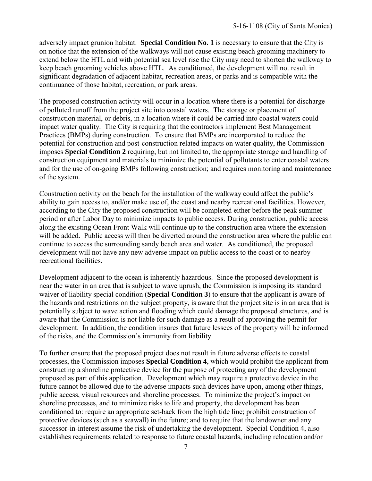adversely impact grunion habitat. **Special Condition No. 1** is necessary to ensure that the City is on notice that the extension of the walkways will not cause existing beach grooming machinery to extend below the HTL and with potential sea level rise the City may need to shorten the walkway to keep beach grooming vehicles above HTL. As conditioned, the development will not result in significant degradation of adjacent habitat, recreation areas, or parks and is compatible with the continuance of those habitat, recreation, or park areas.

The proposed construction activity will occur in a location where there is a potential for discharge of polluted runoff from the project site into coastal waters. The storage or placement of construction material, or debris, in a location where it could be carried into coastal waters could impact water quality. The City is requiring that the contractors implement Best Management Practices (BMPs) during construction. To ensure that BMPs are incorporated to reduce the potential for construction and post-construction related impacts on water quality, the Commission imposes **Special Condition 2** requiring, but not limited to, the appropriate storage and handling of construction equipment and materials to minimize the potential of pollutants to enter coastal waters and for the use of on-going BMPs following construction; and requires monitoring and maintenance of the system.

Construction activity on the beach for the installation of the walkway could affect the public's ability to gain access to, and/or make use of, the coast and nearby recreational facilities. However, according to the City the proposed construction will be completed either before the peak summer period or after Labor Day to minimize impacts to public access. During construction, public access along the existing Ocean Front Walk will continue up to the construction area where the extension will be added. Public access will then be diverted around the construction area where the public can continue to access the surrounding sandy beach area and water. As conditioned, the proposed development will not have any new adverse impact on public access to the coast or to nearby recreational facilities.

Development adjacent to the ocean is inherently hazardous.Since the proposed development is near the water in an area that is subject to wave uprush, the Commission is imposing its standard waiver of liability special condition (**Special Condition 3**) to ensure that the applicant is aware of the hazards and restrictions on the subject property, is aware that the project site is in an area that is potentially subject to wave action and flooding which could damage the proposed structures, and is aware that the Commission is not liable for such damage as a result of approving the permit for development. In addition, the condition insures that future lessees of the property will be informed of the risks, and the Commission's immunity from liability.

To further ensure that the proposed project does not result in future adverse effects to coastal processes, the Commission imposes **Special Condition 4**, which would prohibit the applicant from constructing a shoreline protective device for the purpose of protecting any of the development proposed as part of this application. Development which may require a protective device in the future cannot be allowed due to the adverse impacts such devices have upon, among other things, public access, visual resources and shoreline processes. To minimize the project's impact on shoreline processes, and to minimize risks to life and property, the development has been conditioned to: require an appropriate set-back from the high tide line; prohibit construction of protective devices (such as a seawall) in the future; and to require that the landowner and any successor-in-interest assume the risk of undertaking the development. Special Condition 4, also establishes requirements related to response to future coastal hazards, including relocation and/or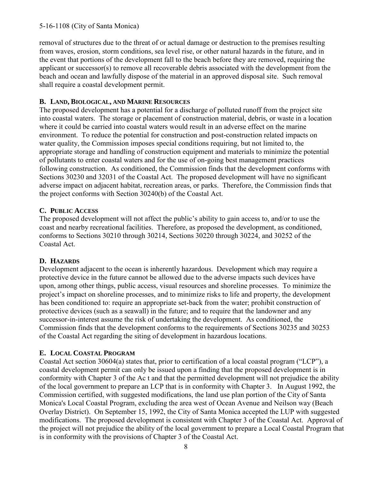#### 5-16-1108 (City of Santa Monica)

removal of structures due to the threat of or actual damage or destruction to the premises resulting from waves, erosion, storm conditions, sea level rise, or other natural hazards in the future, and in the event that portions of the development fall to the beach before they are removed, requiring the applicant or successor(s) to remove all recoverable debris associated with the development from the beach and ocean and lawfully dispose of the material in an approved disposal site. Such removal shall require a coastal development permit.

#### <span id="page-7-0"></span>**B. LAND, BIOLOGICAL, AND MARINE RESOURCES**

The proposed development has a potential for a discharge of polluted runoff from the project site into coastal waters. The storage or placement of construction material, debris, or waste in a location where it could be carried into coastal waters would result in an adverse effect on the marine environment. To reduce the potential for construction and post-construction related impacts on water quality, the Commission imposes special conditions requiring, but not limited to, the appropriate storage and handling of construction equipment and materials to minimize the potential of pollutants to enter coastal waters and for the use of on-going best management practices following construction. As conditioned, the Commission finds that the development conforms with Sections 30230 and 32031 of the Coastal Act. The proposed development will have no significant adverse impact on adjacent habitat, recreation areas, or parks. Therefore, the Commission finds that the project conforms with Section 30240(b) of the Coastal Act.

### <span id="page-7-1"></span>**C. PUBLIC ACCESS**

The proposed development will not affect the public's ability to gain access to, and/or to use the coast and nearby recreational facilities. Therefore, as proposed the development, as conditioned, conforms to Sections 30210 through 30214, Sections 30220 through 30224, and 30252 of the Coastal Act.

#### <span id="page-7-2"></span>**D. HAZARDS**

Development adjacent to the ocean is inherently hazardous. Development which may require a protective device in the future cannot be allowed due to the adverse impacts such devices have upon, among other things, public access, visual resources and shoreline processes. To minimize the project's impact on shoreline processes, and to minimize risks to life and property, the development has been conditioned to: require an appropriate set-back from the water; prohibit construction of protective devices (such as a seawall) in the future; and to require that the landowner and any successor-in-interest assume the risk of undertaking the development. As conditioned, the Commission finds that the development conforms to the requirements of Sections 30235 and 30253 of the Coastal Act regarding the siting of development in hazardous locations.

#### <span id="page-7-3"></span>**E. LOCAL COASTAL PROGRAM**

Coastal Act section 30604(a) states that, prior to certification of a local coastal program ("LCP"), a coastal development permit can only be issued upon a finding that the proposed development is in conformity with Chapter 3 of the Ac t and that the permitted development will not prejudice the ability of the local government to prepare an LCP that is in conformity with Chapter 3. In August 1992, the Commission certified, with suggested modifications, the land use plan portion of the City of Santa Monica's Local Coastal Program, excluding the area west of Ocean Avenue and Neilson way (Beach Overlay District). On September 15, 1992, the City of Santa Monica accepted the LUP with suggested modifications. The proposed development is consistent with Chapter 3 of the Coastal Act. Approval of the project will not prejudice the ability of the local government to prepare a Local Coastal Program that is in conformity with the provisions of Chapter 3 of the Coastal Act.